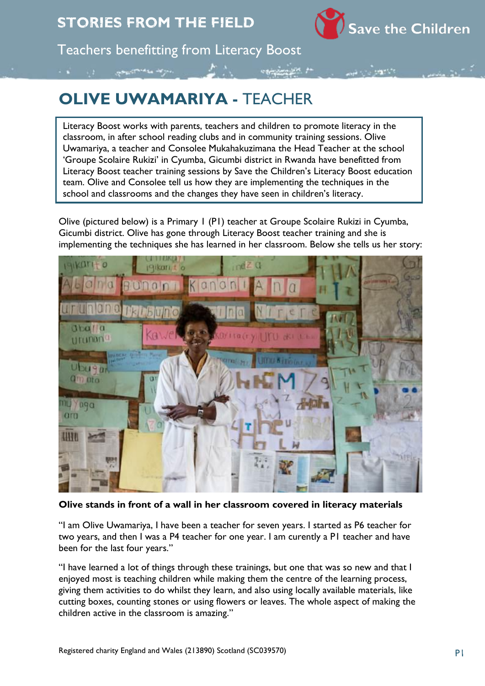

Teachers benefitting from Literacy Boost

## **OLIVE UWAMARIYA -** TEACHER

Literacy Boost works with parents, teachers and children to promote literacy in the classroom, in after school reading clubs and in community training sessions. Olive Uwamariya, a teacher and Consolee Mukahakuzimana the Head Teacher at the school 'Groupe Scolaire Rukizi' in Cyumba, Gicumbi district in Rwanda have benefitted from Literacy Boost teacher training sessions by Save the Children's Literacy Boost education team. Olive and Consolee tell us how they are implementing the techniques in the school and classrooms and the changes they have seen in children's literacy.

Olive (pictured below) is a Primary 1 (P1) teacher at Groupe Scolaire Rukizi in Cyumba, Gicumbi district. Olive has gone through Literacy Boost teacher training and she is implementing the techniques she has learned in her classroom. Below she tells us her story:



## **Olive stands in front of a wall in her classroom covered in literacy materials**

"I am Olive Uwamariya, I have been a teacher for seven years. I started as P6 teacher for two years, and then I was a P4 teacher for one year. I am curently a P1 teacher and have been for the last four years."

"I have learned a lot of things through these trainings, but one that was so new and that I enjoyed most is teaching children while making them the centre of the learning process, giving them activities to do whilst they learn, and also using locally available materials, like cutting boxes, counting stones or using flowers or leaves. The whole aspect of making the children active in the classroom is amazing."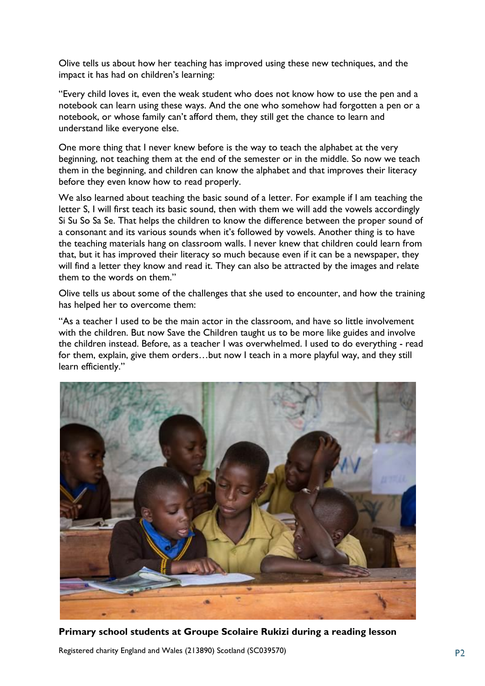Olive tells us about how her teaching has improved using these new techniques, and the impact it has had on children's learning:

"Every child loves it, even the weak student who does not know how to use the pen and a notebook can learn using these ways. And the one who somehow had forgotten a pen or a notebook, or whose family can't afford them, they still get the chance to learn and understand like everyone else.

One more thing that I never knew before is the way to teach the alphabet at the very beginning, not teaching them at the end of the semester or in the middle. So now we teach them in the beginning, and children can know the alphabet and that improves their literacy before they even know how to read properly.

We also learned about teaching the basic sound of a letter. For example if I am teaching the letter S, I will first teach its basic sound, then with them we will add the vowels accordingly Si Su So Sa Se. That helps the children to know the difference between the proper sound of a consonant and its various sounds when it's followed by vowels. Another thing is to have the teaching materials hang on classroom walls. I never knew that children could learn from that, but it has improved their literacy so much because even if it can be a newspaper, they will find a letter they know and read it. They can also be attracted by the images and relate them to the words on them."

Olive tells us about some of the challenges that she used to encounter, and how the training has helped her to overcome them:

"As a teacher I used to be the main actor in the classroom, and have so little involvement with the children. But now Save the Children taught us to be more like guides and involve the children instead. Before, as a teacher I was overwhelmed. I used to do everything - read for them, explain, give them orders…but now I teach in a more playful way, and they still learn efficiently."



**Primary school students at Groupe Scolaire Rukizi during a reading lesson**

Registered charity England and Wales (213890) Scotland (SC039570) P2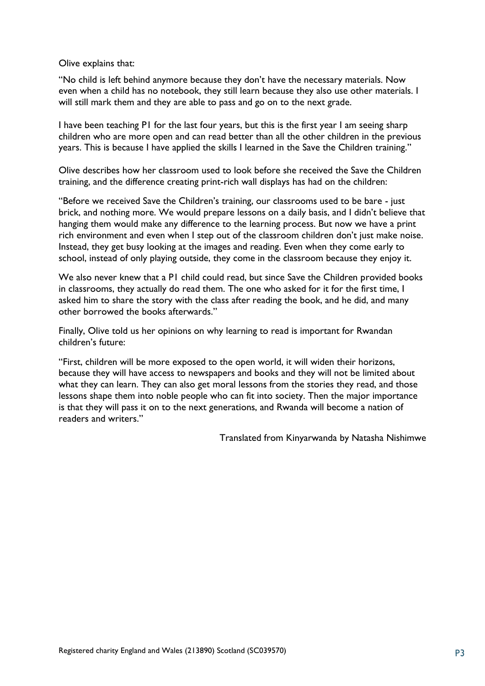Olive explains that:

"No child is left behind anymore because they don't have the necessary materials. Now even when a child has no notebook, they still learn because they also use other materials. I will still mark them and they are able to pass and go on to the next grade.

I have been teaching P1 for the last four years, but this is the first year I am seeing sharp children who are more open and can read better than all the other children in the previous years. This is because I have applied the skills I learned in the Save the Children training."

Olive describes how her classroom used to look before she received the Save the Children training, and the difference creating print-rich wall displays has had on the children:

"Before we received Save the Children's training, our classrooms used to be bare - just brick, and nothing more. We would prepare lessons on a daily basis, and I didn't believe that hanging them would make any difference to the learning process. But now we have a print rich environment and even when I step out of the classroom children don't just make noise. Instead, they get busy looking at the images and reading. Even when they come early to school, instead of only playing outside, they come in the classroom because they enjoy it.

We also never knew that a P1 child could read, but since Save the Children provided books in classrooms, they actually do read them. The one who asked for it for the first time, I asked him to share the story with the class after reading the book, and he did, and many other borrowed the books afterwards."

Finally, Olive told us her opinions on why learning to read is important for Rwandan children's future:

"First, children will be more exposed to the open world, it will widen their horizons, because they will have access to newspapers and books and they will not be limited about what they can learn. They can also get moral lessons from the stories they read, and those lessons shape them into noble people who can fit into society. Then the major importance is that they will pass it on to the next generations, and Rwanda will become a nation of readers and writers."

Translated from Kinyarwanda by Natasha Nishimwe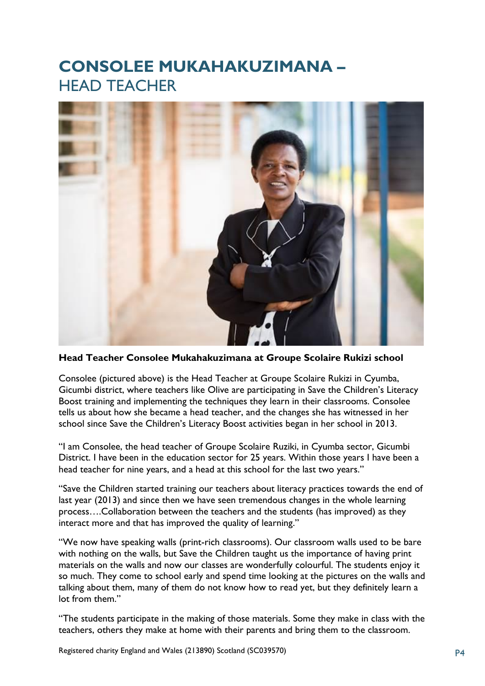## **CONSOLEE MUKAHAKUZIMANA –** HEAD TEACHER



**Head Teacher Consolee Mukahakuzimana at Groupe Scolaire Rukizi school**

Consolee (pictured above) is the Head Teacher at Groupe Scolaire Rukizi in Cyumba, Gicumbi district, where teachers like Olive are participating in Save the Children's Literacy Boost training and implementing the techniques they learn in their classrooms. Consolee tells us about how she became a head teacher, and the changes she has witnessed in her school since Save the Children's Literacy Boost activities began in her school in 2013.

"I am Consolee, the head teacher of Groupe Scolaire Ruziki, in Cyumba sector, Gicumbi District. I have been in the education sector for 25 years. Within those years I have been a head teacher for nine years, and a head at this school for the last two years."

"Save the Children started training our teachers about literacy practices towards the end of last year (2013) and since then we have seen tremendous changes in the whole learning process….Collaboration between the teachers and the students (has improved) as they interact more and that has improved the quality of learning."

"We now have speaking walls (print-rich classrooms). Our classroom walls used to be bare with nothing on the walls, but Save the Children taught us the importance of having print materials on the walls and now our classes are wonderfully colourful. The students enjoy it so much. They come to school early and spend time looking at the pictures on the walls and talking about them, many of them do not know how to read yet, but they definitely learn a lot from them."

"The students participate in the making of those materials. Some they make in class with the teachers, others they make at home with their parents and bring them to the classroom.